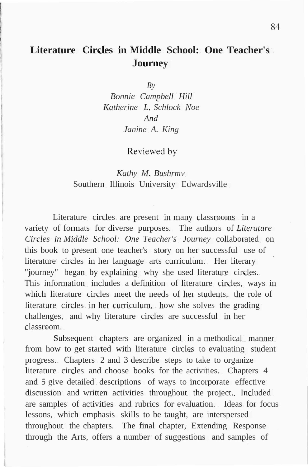## **Literature Circles in Middle School: One Teacher's Journey**

*By*

*Bonnie Campbell Hill Katherine L. Schlock Noe And Janine A. King*

Reviewed by

## *Kathy M. Bushrmv* Southern Illinois University Edwardsville

Literature circles are present in many classrooms in a variety of formats for diverse purposes. The authors of *Literature Circles in Middle School: One Teacher's Journey* collaborated on this book to present one teacher's story on her successful use of literature circles in her language arts curriculum. Her literary "journey" began by explaining why she used literature circles. This information includes a definition of literature circles, ways in which literature circles meet the needs of her students, the role of literature circles in her curriculum, how she solves the grading challenges, and why literature circles are successful in her classroom.

Subsequent chapters are organized in a methodical manner from how to get started with literature circles to evaluating student progress. Chapters 2 and 3 describe steps to take to organize literature circles and choose books for the activities. Chapters 4 and 5 give detailed descriptions of ways to incorporate effective discussion and written activities throughout the project. Included are samples of activities and rubrics for evaluation. Ideas for focus lessons, which emphasis skills to be taught, are interspersed throughout the chapters. The final chapter, Extending Response through the Arts, offers a number of suggestions and samples of